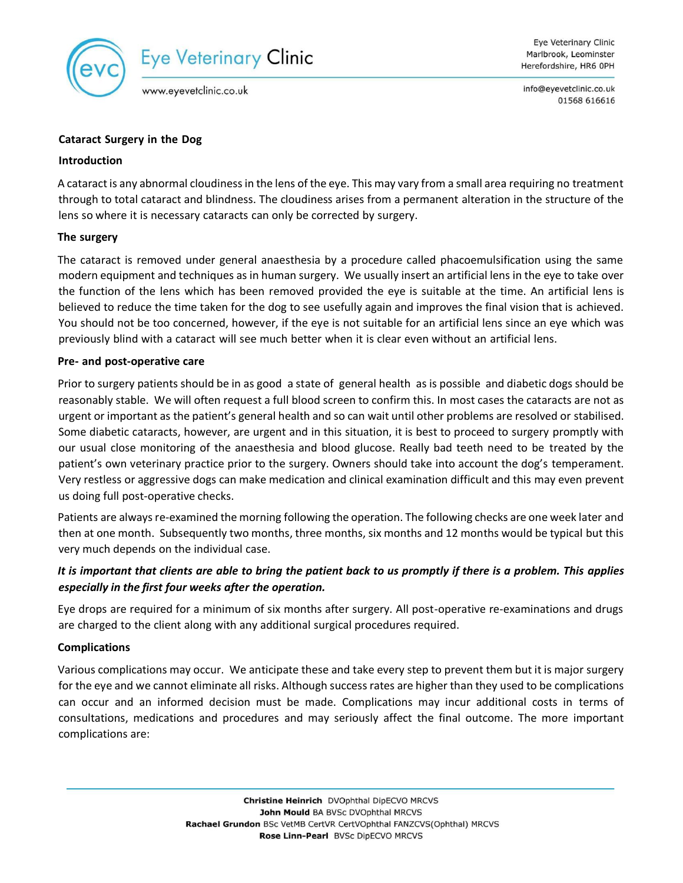

info@eyevetclinic.co.uk 01568 616616

#### **Cataract Surgery in the Dog**

#### **Introduction**

A cataract is any abnormal cloudiness in the lens of the eye. This may vary from a small area requiring no treatment through to total cataract and blindness. The cloudiness arises from a permanent alteration in the structure of the lens so where it is necessary cataracts can only be corrected by surgery.

## **The surgery**

The cataract is removed under general anaesthesia by a procedure called phacoemulsification using the same modern equipment and techniques as in human surgery. We usually insert an artificial lens in the eye to take over the function of the lens which has been removed provided the eye is suitable at the time. An artificial lens is believed to reduce the time taken for the dog to see usefully again and improves the final vision that is achieved. You should not be too concerned, however, if the eye is not suitable for an artificial lens since an eye which was previously blind with a cataract will see much better when it is clear even without an artificial lens.

## **Pre- and post-operative care**

Prior to surgery patients should be in as good a state of general health as is possible and diabetic dogs should be reasonably stable. We will often request a full blood screen to confirm this. In most cases the cataracts are not as urgent or important as the patient's general health and so can wait until other problems are resolved or stabilised. Some diabetic cataracts, however, are urgent and in this situation, it is best to proceed to surgery promptly with our usual close monitoring of the anaesthesia and blood glucose. Really bad teeth need to be treated by the patient's own veterinary practice prior to the surgery. Owners should take into account the dog's temperament. Very restless or aggressive dogs can make medication and clinical examination difficult and this may even prevent us doing full post-operative checks.

Patients are always re-examined the morning following the operation. The following checks are one week later and then at one month. Subsequently two months, three months, six months and 12 months would be typical but this very much depends on the individual case.

# *It is important that clients are able to bring the patient back to us promptly if there is a problem. This applies especially in the first four weeks after the operation.*

Eye drops are required for a minimum of six months after surgery. All post-operative re-examinations and drugs are charged to the client along with any additional surgical procedures required.

## **Complications**

Various complications may occur. We anticipate these and take every step to prevent them but it is major surgery for the eye and we cannot eliminate all risks. Although success rates are higher than they used to be complications can occur and an informed decision must be made. Complications may incur additional costs in terms of consultations, medications and procedures and may seriously affect the final outcome. The more important complications are: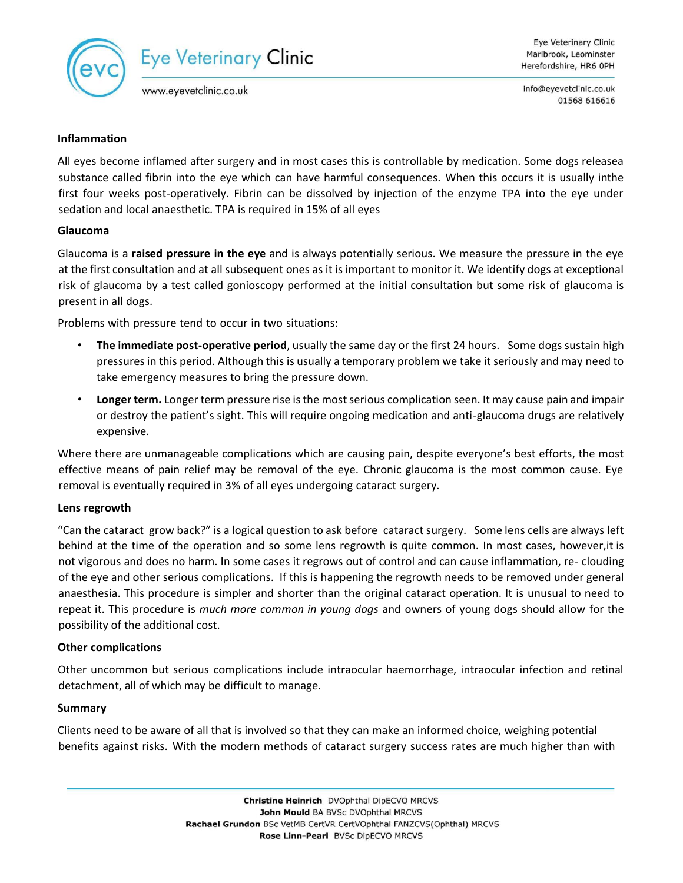

info@eyevetclinic.co.uk 01568 616616

## **Inflammation**

All eyes become inflamed after surgery and in most cases this is controllable by medication. Some dogs releasea substance called fibrin into the eye which can have harmful consequences. When this occurs it is usually inthe first four weeks post-operatively. Fibrin can be dissolved by injection of the enzyme TPA into the eye under sedation and local anaesthetic. TPA is required in 15% of all eyes

## **Glaucoma**

Glaucoma is a **raised pressure in the eye** and is always potentially serious. We measure the pressure in the eye at the first consultation and at all subsequent ones as it is important to monitor it. We identify dogs at exceptional risk of glaucoma by a test called gonioscopy performed at the initial consultation but some risk of glaucoma is present in all dogs.

Problems with pressure tend to occur in two situations:

- **The immediate post-operative period**, usually the same day or the first 24 hours. Some dogs sustain high pressures in this period. Although this is usually a temporary problem we take it seriously and may need to take emergency measures to bring the pressure down.
- **Longer term.** Longer term pressure rise is the most serious complication seen. It may cause pain and impair or destroy the patient's sight. This will require ongoing medication and anti-glaucoma drugs are relatively expensive.

Where there are unmanageable complications which are causing pain, despite everyone's best efforts, the most effective means of pain relief may be removal of the eye. Chronic glaucoma is the most common cause. Eye removal is eventually required in 3% of all eyes undergoing cataract surgery.

#### **Lens regrowth**

"Can the cataract grow back?" is a logical question to ask before cataract surgery. Some lens cells are always left behind at the time of the operation and so some lens regrowth is quite common. In most cases, however,it is not vigorous and does no harm. In some cases it regrows out of control and can cause inflammation, re- clouding of the eye and other serious complications. If this is happening the regrowth needs to be removed under general anaesthesia. This procedure is simpler and shorter than the original cataract operation. It is unusual to need to repeat it. This procedure is *much more common in young dogs* and owners of young dogs should allow for the possibility of the additional cost.

#### **Other complications**

Other uncommon but serious complications include intraocular haemorrhage, intraocular infection and retinal detachment, all of which may be difficult to manage.

#### **Summary**

Clients need to be aware of all that is involved so that they can make an informed choice, weighing potential benefits against risks. With the modern methods of cataract surgery success rates are much higher than with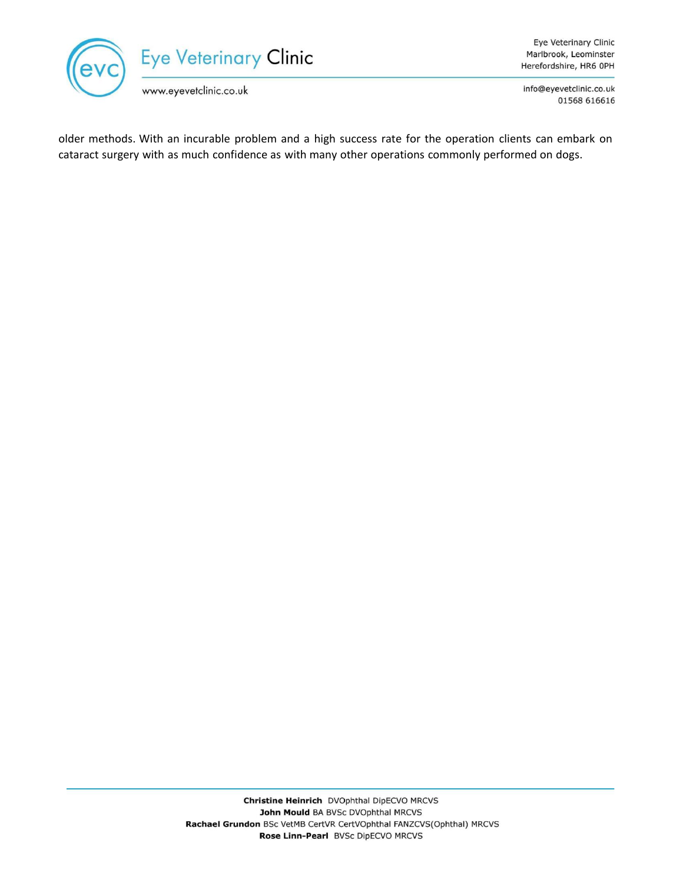

info@eyevetclinic.co.uk 01568 616616

older methods. With an incurable problem and a high success rate for the operation clients can embark on cataract surgery with as much confidence as with many other operations commonly performed on dogs.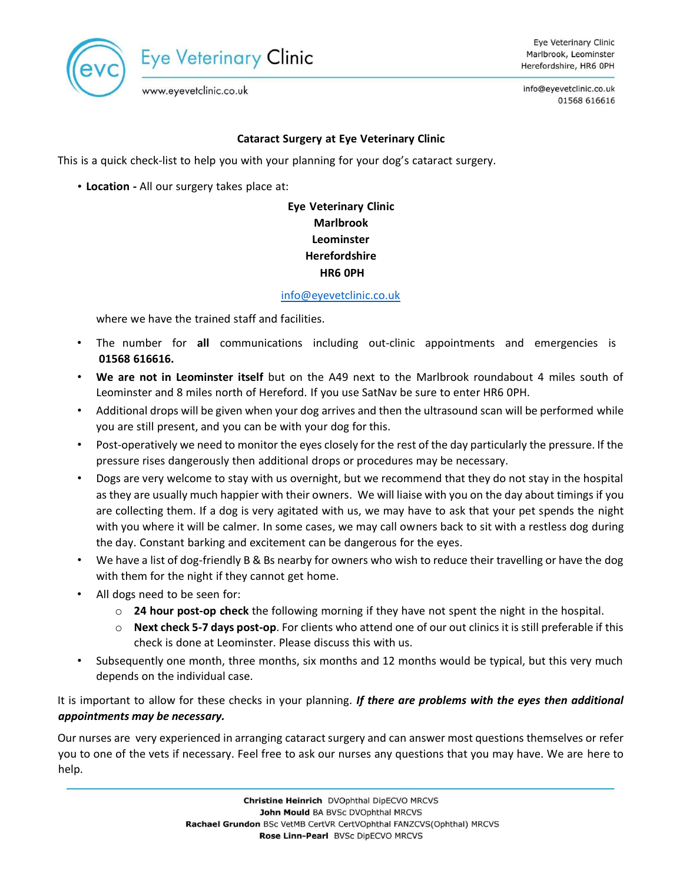

info@eyevetclinic.co.uk 01568 616616

www.eyevetclinic.co.uk

# **Cataract Surgery at Eye Veterinary Clinic**

This is a quick check-list to help you with your planning for your dog's cataract surgery.

• **Location -** All our surgery takes place at:

# **Eye Veterinary Clinic Marlbrook Leominster Herefordshire HR6 0PH**

#### [info@eyevetclinic.co.uk](mailto:info@eyevetclinic.co.uk)

where we have the trained staff and facilities.

- The number for **all** communications including out-clinic appointments and emergencies is **01568 616616.**
- **We are not in Leominster itself** but on the A49 next to the Marlbrook roundabout 4 miles south of Leominster and 8 miles north of Hereford. If you use SatNav be sure to enter HR6 0PH.
- Additional drops will be given when your dog arrives and then the ultrasound scan will be performed while you are still present, and you can be with your dog for this.
- Post-operatively we need to monitor the eyes closely for the rest of the day particularly the pressure. If the pressure rises dangerously then additional drops or procedures may be necessary.
- Dogs are very welcome to stay with us overnight, but we recommend that they do not stay in the hospital as they are usually much happier with their owners. We will liaise with you on the day about timings if you are collecting them. If a dog is very agitated with us, we may have to ask that your pet spends the night with you where it will be calmer. In some cases, we may call owners back to sit with a restless dog during the day. Constant barking and excitement can be dangerous for the eyes.
- We have a list of dog-friendly B & Bs nearby for owners who wish to reduce their travelling or have the dog with them for the night if they cannot get home.
- All dogs need to be seen for:
	- o **24 hour post-op check** the following morning if they have not spent the night in the hospital.
	- o **Next check 5-7 days post-op**. For clients who attend one of our out clinics it is still preferable if this check is done at Leominster. Please discuss this with us.
- Subsequently one month, three months, six months and 12 months would be typical, but this very much depends on the individual case.

It is important to allow for these checks in your planning. *If there are problems with the eyes then additional appointments may be necessary.*

Our nurses are very experienced in arranging cataract surgery and can answer most questions themselves or refer you to one of the vets if necessary. Feel free to ask our nurses any questions that you may have. We are here to help.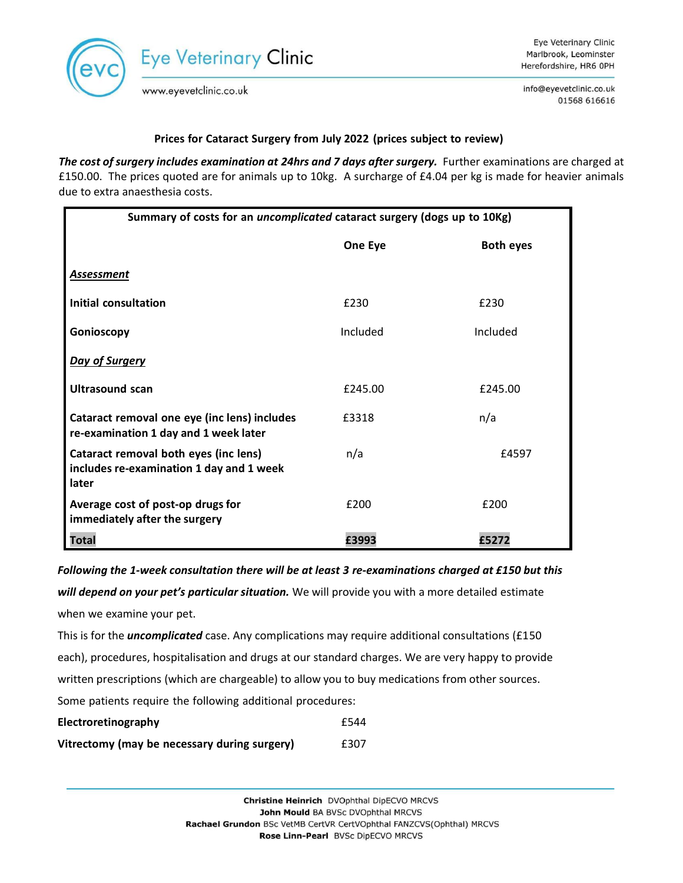

info@eyevetclinic.co.uk 01568 616616

## **Prices for Cataract Surgery from July 2022 (prices subject to review)**

*The cost of surgery includes examination at 24hrs and 7 days after surgery.* Further examinations are charged at £150.00. The prices quoted are for animals up to 10kg. A surcharge of £4.04 per kg is made for heavier animals due to extra anaesthesia costs.

| Summary of costs for an uncomplicated cataract surgery (dogs up to 10Kg)                   |          |                  |
|--------------------------------------------------------------------------------------------|----------|------------------|
|                                                                                            | One Eye  | <b>Both eyes</b> |
| <b>Assessment</b>                                                                          |          |                  |
| Initial consultation                                                                       | £230     | £230             |
| Gonioscopy                                                                                 | Included | Included         |
| Day of Surgery                                                                             |          |                  |
| <b>Ultrasound scan</b>                                                                     | £245.00  | £245.00          |
| Cataract removal one eye (inc lens) includes<br>re-examination 1 day and 1 week later      | £3318    | n/a              |
| Cataract removal both eyes (inc lens)<br>includes re-examination 1 day and 1 week<br>later | n/a      | £4597            |
| Average cost of post-op drugs for<br>immediately after the surgery                         | £200     | £200             |
| Total                                                                                      | £3993    | £5272            |

*Following the 1-week consultation there will be at least 3 re-examinations charged at £150 but this*

*will depend on your pet's particular situation.* We will provide you with a more detailed estimate when we examine your pet.

This is for the *uncomplicated* case. Any complications may require additional consultations (£150 each), procedures, hospitalisation and drugs at our standard charges. We are very happy to provide written prescriptions (which are chargeable) to allow you to buy medications from other sources. Some patients require the following additional procedures:

| Electroretinography                          | £544 |
|----------------------------------------------|------|
| Vitrectomy (may be necessary during surgery) | £307 |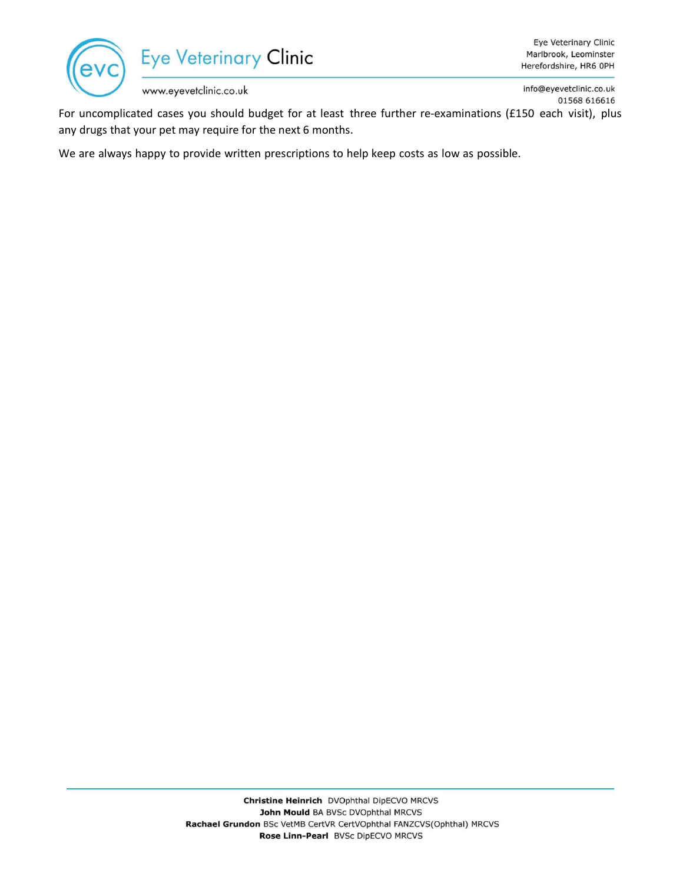

info@eyevetclinic.co.uk 01568 616616

For uncomplicated cases you should budget for at least three further re-examinations (£150 each visit), plus any drugs that your pet may require for the next 6 months.

We are always happy to provide written prescriptions to help keep costs as low as possible.